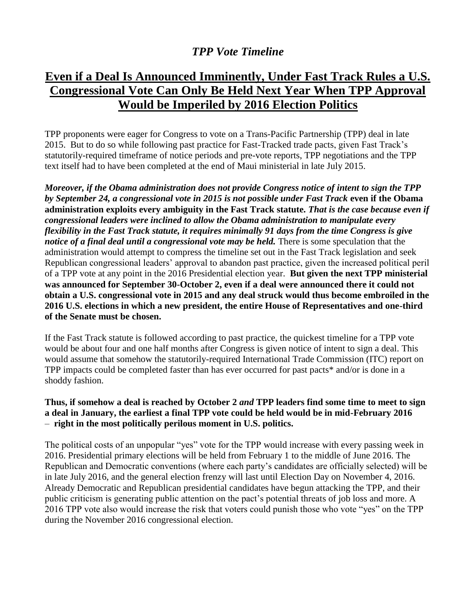## *TPP Vote Timeline*

## **Even if a Deal Is Announced Imminently, Under Fast Track Rules a U.S. Congressional Vote Can Only Be Held Next Year When TPP Approval Would be Imperiled by 2016 Election Politics**

TPP proponents were eager for Congress to vote on a Trans-Pacific Partnership (TPP) deal in late 2015. But to do so while following past practice for Fast-Tracked trade pacts, given Fast Track's statutorily-required timeframe of notice periods and pre-vote reports, TPP negotiations and the TPP text itself had to have been completed at the end of Maui ministerial in late July 2015.

*Moreover, if the Obama administration does not provide Congress notice of intent to sign the TPP by September 24, a congressional vote in 2015 is not possible under Fast Track* **even if the Obama administration exploits every ambiguity in the Fast Track statute.** *That is the case because even if congressional leaders were inclined to allow the Obama administration to manipulate every flexibility in the Fast Track statute, it requires minimally 91 days from the time Congress is give notice of a final deal until a congressional vote may be held.* There is some speculation that the administration would attempt to compress the timeline set out in the Fast Track legislation and seek Republican congressional leaders' approval to abandon past practice, given the increased political peril of a TPP vote at any point in the 2016 Presidential election year. **But given the next TPP ministerial was announced for September 30-October 2, even if a deal were announced there it could not obtain a U.S. congressional vote in 2015 and any deal struck would thus become embroiled in the 2016 U.S. elections in which a new president, the entire House of Representatives and one-third of the Senate must be chosen.** 

If the Fast Track statute is followed according to past practice, the quickest timeline for a TPP vote would be about four and one half months after Congress is given notice of intent to sign a deal. This would assume that somehow the statutorily-required International Trade Commission (ITC) report on TPP impacts could be completed faster than has ever occurred for past pacts\* and/or is done in a shoddy fashion.

## **Thus, if somehow a deal is reached by October 2** *and* **TPP leaders find some time to meet to sign a deal in January, the earliest a final TPP vote could be held would be in mid-February 2016** – **right in the most politically perilous moment in U.S. politics.**

The political costs of an unpopular "yes" vote for the TPP would increase with every passing week in 2016. Presidential primary elections will be held from February 1 to the middle of June 2016. The Republican and Democratic conventions (where each party's candidates are officially selected) will be in late July 2016, and the general election frenzy will last until Election Day on November 4, 2016. Already Democratic and Republican presidential candidates have begun attacking the TPP, and their public criticism is generating public attention on the pact's potential threats of job loss and more. A 2016 TPP vote also would increase the risk that voters could punish those who vote "yes" on the TPP during the November 2016 congressional election.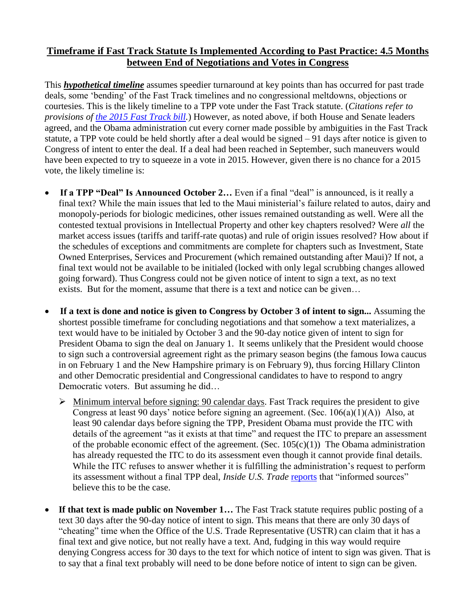## **Timeframe if Fast Track Statute Is Implemented According to Past Practice: 4.5 Months between End of Negotiations and Votes in Congress**

This *hypothetical timeline* assumes speedier turnaround at key points than has occurred for past trade deals, some 'bending' of the Fast Track timelines and no congressional meltdowns, objections or courtesies. This is the likely timeline to a TPP vote under the Fast Track statute. (*Citations refer to provisions of [the 2015 Fast Track bill.](https://www.congress.gov/bill/114th-congress/house-bill/2146/text?q=%7B%22search%22%3A%5B%22%5C%22hr2146%5C%22%22%5D%7D)*) However, as noted above, if both House and Senate leaders agreed, and the Obama administration cut every corner made possible by ambiguities in the Fast Track statute, a TPP vote could be held shortly after a deal would be signed – 91 days after notice is given to Congress of intent to enter the deal. If a deal had been reached in September, such maneuvers would have been expected to try to squeeze in a vote in 2015. However, given there is no chance for a 2015 vote, the likely timeline is:

- **If a TPP "Deal" Is Announced October 2…** Even if a final "deal" is announced, is it really a final text? While the main issues that led to the Maui ministerial's failure related to autos, dairy and monopoly-periods for biologic medicines, other issues remained outstanding as well. Were all the contested textual provisions in Intellectual Property and other key chapters resolved? Were *all* the market access issues (tariffs and tariff-rate quotas) and rule of origin issues resolved? How about if the schedules of exceptions and commitments are complete for chapters such as Investment, State Owned Enterprises, Services and Procurement (which remained outstanding after Maui)? If not, a final text would not be available to be initialed (locked with only legal scrubbing changes allowed going forward). Thus Congress could not be given notice of intent to sign a text, as no text exists. But for the moment, assume that there is a text and notice can be given…
- **If a text is done and notice is given to Congress by October 3 of intent to sign...** Assuming the shortest possible timeframe for concluding negotiations and that somehow a text materializes, a text would have to be initialed by October 3 and the 90-day notice given of intent to sign for President Obama to sign the deal on January 1. It seems unlikely that the President would choose to sign such a controversial agreement right as the primary season begins (the famous Iowa caucus in on February 1 and the New Hampshire primary is on February 9), thus forcing Hillary Clinton and other Democratic presidential and Congressional candidates to have to respond to angry Democratic voters. But assuming he did…
	- $\triangleright$  Minimum interval before signing: 90 calendar days. Fast Track requires the president to give Congress at least 90 days' notice before signing an agreement. (Sec. 106(a)(1)(A)) Also, at least 90 calendar days before signing the TPP, President Obama must provide the ITC with details of the agreement "as it exists at that time" and request the ITC to prepare an assessment of the probable economic effect of the agreement. (Sec.  $105(c)(1)$ ) The Obama administration has already requested the ITC to do its assessment even though it cannot provide final details. While the ITC refuses to answer whether it is fulfilling the administration's request to perform its assessment without a final TPP deal, *Inside U.S. Trade* [reports](http://insidetrade.com/inside-us-trade/itc-remain-silent-ngo-request-delay-tpp-analysis-until-final-deal) that "informed sources" believe this to be the case.
- **If that text is made public on November 1…** The Fast Track statute requires public posting of a text 30 days after the 90-day notice of intent to sign. This means that there are only 30 days of "cheating" time when the Office of the U.S. Trade Representative (USTR) can claim that it has a final text and give notice, but not really have a text. And, fudging in this way would require denying Congress access for 30 days to the text for which notice of intent to sign was given. That is to say that a final text probably will need to be done before notice of intent to sign can be given.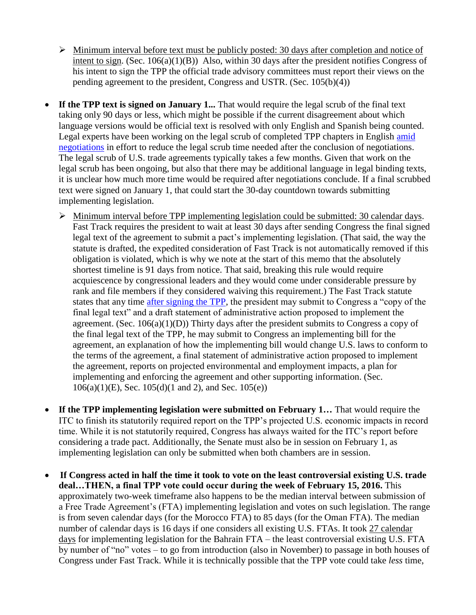- $\triangleright$  Minimum interval before text must be publicly posted: 30 days after completion and notice of intent to sign. (Sec. 106(a)(1)(B)) Also, within 30 days after the president notifies Congress of his intent to sign the TPP the official trade advisory committees must report their views on the pending agreement to the president, Congress and USTR. (Sec. 105(b)(4))
- **If the TPP text is signed on January 1...** That would require the legal scrub of the final text taking only 90 days or less, which might be possible if the current disagreement about which language versions would be official text is resolved with only English and Spanish being counted. Legal experts have been working on the legal scrub of completed TPP chapters in English [amid](http://insidetrade.com/inside-us-trade/mixed-expectations-progress-tpps-finale-appears-delayed-again)  [negotiations](http://insidetrade.com/inside-us-trade/mixed-expectations-progress-tpps-finale-appears-delayed-again) in effort to reduce the legal scrub time needed after the conclusion of negotiations. The legal scrub of U.S. trade agreements typically takes a few months. Given that work on the legal scrub has been ongoing, but also that there may be additional language in legal binding texts, it is unclear how much more time would be required after negotiations conclude. If a final scrubbed text were signed on January 1, that could start the 30-day countdown towards submitting implementing legislation.
	- Minimum interval before TPP implementing legislation could be submitted: 30 calendar days. Fast Track requires the president to wait at least 30 days after sending Congress the final signed legal text of the agreement to submit a pact's implementing legislation. (That said, the way the statute is drafted, the expedited consideration of Fast Track is not automatically removed if this obligation is violated, which is why we note at the start of this memo that the absolutely shortest timeline is 91 days from notice. That said, breaking this rule would require acquiescence by congressional leaders and they would come under considerable pressure by rank and file members if they considered waiving this requirement.) The Fast Track statute states that any time [after signing the TPP,](http://www.finance.senate.gov/newsroom/chairman/release/?id=4ec9c2f4-22ae-4000-8b95-d37f8b34bb33) the president may submit to Congress a "copy of the final legal text" and a draft statement of administrative action proposed to implement the agreement. (Sec.  $106(a)(1)(D)$ ) Thirty days after the president submits to Congress a copy of the final legal text of the TPP, he may submit to Congress an implementing bill for the agreement, an explanation of how the implementing bill would change U.S. laws to conform to the terms of the agreement, a final statement of administrative action proposed to implement the agreement, reports on projected environmental and employment impacts, a plan for implementing and enforcing the agreement and other supporting information. (Sec.  $106(a)(1)(E)$ , Sec.  $105(d)(1 \text{ and } 2)$ , and Sec.  $105(e)$ )
- **If the TPP implementing legislation were submitted on February 1…** That would require the ITC to finish its statutorily required report on the TPP's projected U.S. economic impacts in record time. While it is not statutorily required, Congress has always waited for the ITC's report before considering a trade pact. Additionally, the Senate must also be in session on February 1, as implementing legislation can only be submitted when both chambers are in session.
- **If Congress acted in half the time it took to vote on the least controversial existing U.S. trade deal…THEN, a final TPP vote could occur during the week of February 15, 2016.** This approximately two-week timeframe also happens to be the median interval between submission of a Free Trade Agreement's (FTA) implementing legislation and votes on such legislation. The range is from seven calendar days (for the Morocco FTA) to 85 days (for the Oman FTA). The median number of calendar days is 16 days if one considers all existing U.S. FTAs. It took 27 calendar days for implementing legislation for the Bahrain FTA – the least controversial existing U.S. FTA by number of "no" votes – to go from introduction (also in November) to passage in both houses of Congress under Fast Track. While it is technically possible that the TPP vote could take *less* time,